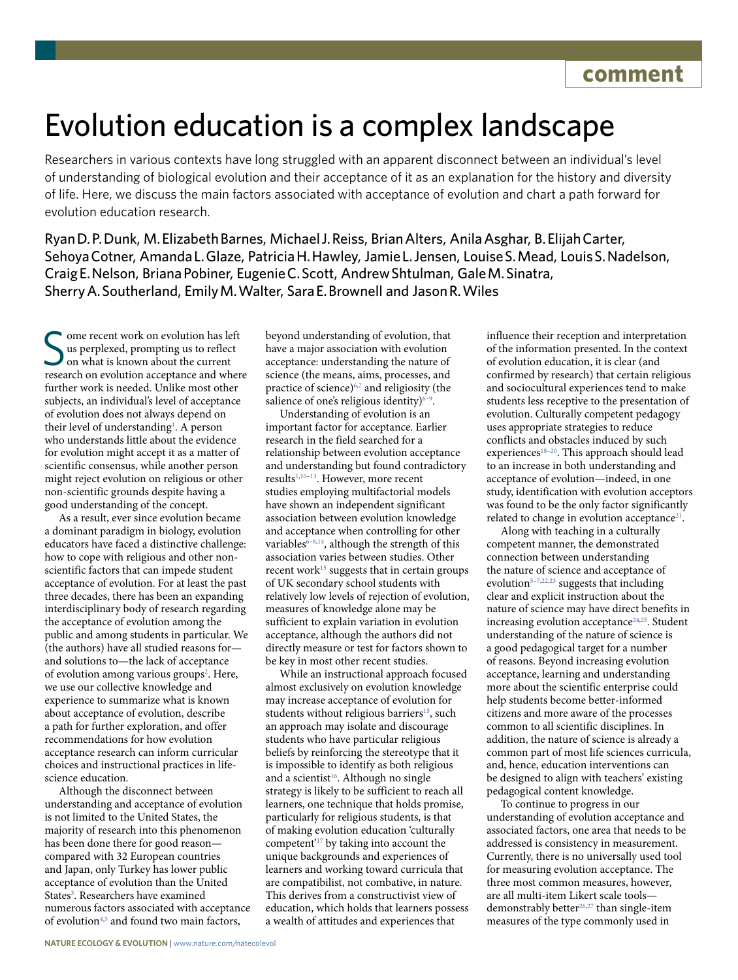## Evolution education is a complex landscape

Researchers in various contexts have long struggled with an apparent disconnect between an individual's level of understanding of biological evolution and their acceptance of it as an explanation for the history and diversity of life. Here, we discuss the main factors associated with acceptance of evolution and chart a path forward for evolution education research.

Ryan D. P. Dunk, M. Elizabeth Barnes, Michael J. Reiss, Brian Alters, Anila Asghar, B. Elijah Carter, Sehoya Cotner, Amanda L. Glaze, Patricia H. Hawley, Jamie L. Jensen, Louise S. Mead, Louis S. Nadelson, Craig E. Nelson, Briana Pobiner, Eugenie C. Scott, Andrew Shtulman, Gale M. Sinatra, Sherry A. Southerland, Emily M. Walter, Sara E. Brownell and Jason R. Wiles

Some recent work on evolution has left<br>
Sus perplexed, prompting us to reflect<br>
on what is known about the current<br>
research on evolution acceptance and where ome recent work on evolution has left us perplexed, prompting us to reflect on what is known about the current further work is needed. Unlike most other subjects, an individual's level of acceptance of evolution does not always depend on their level of understanding<sup>[1](#page-1-0)</sup>. A person who understands little about the evidence for evolution might accept it as a matter of scientific consensus, while another person might reject evolution on religious or other non-scientific grounds despite having a good understanding of the concept.

As a result, ever since evolution became a dominant paradigm in biology, evolution educators have faced a distinctive challenge: how to cope with religious and other nonscientific factors that can impede student acceptance of evolution. For at least the past three decades, there has been an expanding interdisciplinary body of research regarding the acceptance of evolution among the public and among students in particular. We (the authors) have all studied reasons for and solutions to—the lack of acceptance of evolution among various groups<sup>2</sup>. Here, we use our collective knowledge and experience to summarize what is known about acceptance of evolution, describe a path for further exploration, and offer recommendations for how evolution acceptance research can inform curricular choices and instructional practices in lifescience education.

Although the disconnect between understanding and acceptance of evolution is not limited to the United States, the majority of research into this phenomenon has been done there for good reason compared with 32 European countries and Japan, only Turkey has lower public acceptance of evolution than the United States<sup>3</sup>. Researchers have examined numerous factors associated with acceptance of evolution<sup>[4](#page-1-3)[,5](#page-1-4)</sup> and found two main factors,

beyond understanding of evolution, that have a major association with evolution acceptance: understanding the nature of science (the means, aims, processes, and practice of science)[6](#page-1-5)[,7](#page-1-6) and religiosity (the salience of one's religious identity)<sup>6-[9](#page-1-7)</sup>.

Understanding of evolution is an important factor for acceptance. Earlier research in the field searched for a relationship between evolution acceptance and understanding but found contradictory results<sup>[1](#page-1-0)[,10](#page-1-8)-13</sup>. However, more recent studies employing multifactorial models have shown an independent significant association between evolution knowledge and acceptance when controlling for other variables $6-8,14$  $6-8,14$  $6-8,14$ , although the strength of this association varies between studies. Other recent work<sup>15</sup> suggests that in certain groups of UK secondary school students with relatively low levels of rejection of evolution, measures of knowledge alone may be sufficient to explain variation in evolution acceptance, although the authors did not directly measure or test for factors shown to be key in most other recent studies.

While an instructional approach focused almost exclusively on evolution knowledge may increase acceptance of evolution for students without religious barriers<sup>15</sup>, such an approach may isolate and discourage students who have particular religious beliefs by reinforcing the stereotype that it is impossible to identify as both religious and a scientist<sup>16</sup>. Although no single strategy is likely to be sufficient to reach all learners, one technique that holds promise, particularly for religious students, is that of making evolution education 'culturally competent'[17](#page-1-14) by taking into account the unique backgrounds and experiences of learners and working toward curricula that are compatibilist, not combative, in nature. This derives from a constructivist view of education, which holds that learners possess a wealth of attitudes and experiences that

influence their reception and interpretation of the information presented. In the context of evolution education, it is clear (and confirmed by research) that certain religious and sociocultural experiences tend to make students less receptive to the presentation of evolution. Culturally competent pedagogy uses appropriate strategies to reduce conflicts and obstacles induced by such experiences<sup>18-20</sup>. This approach should lead to an increase in both understanding and acceptance of evolution—indeed, in one study, identification with evolution acceptors was found to be the only factor significantly related to change in evolution acceptance<sup>21</sup>.

Along with teaching in a culturally competent manner, the demonstrated connection between understanding the nature of science and acceptance of evolution  $5-7,22,23$  $5-7,22,23$  $5-7,22,23$  $5-7,22,23$  suggests that including clear and explicit instruction about the nature of science may have direct benefits in increasing evolution acceptance<sup>[24](#page-2-1)[,25](#page-2-2)</sup>. Student understanding of the nature of science is a good pedagogical target for a number of reasons. Beyond increasing evolution acceptance, learning and understanding more about the scientific enterprise could help students become better-informed citizens and more aware of the processes common to all scientific disciplines. In addition, the nature of science is already a common part of most life sciences curricula, and, hence, education interventions can be designed to align with teachers' existing pedagogical content knowledge.

To continue to progress in our understanding of evolution acceptance and associated factors, one area that needs to be addressed is consistency in measurement. Currently, there is no universally used tool for measuring evolution acceptance. The three most common measures, however, are all multi-item Likert scale tools— demonstrably better<sup>[26,](#page-2-3)[27](#page-2-4)</sup> than single-item measures of the type commonly used in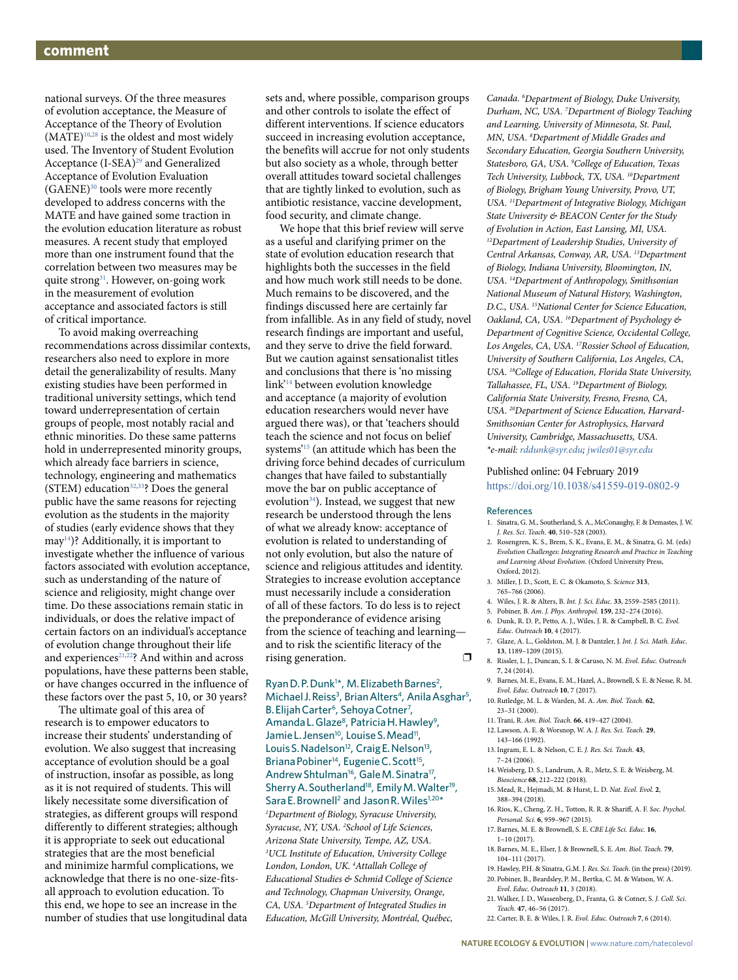national surveys. Of the three measures of evolution acceptance, the Measure of Acceptance of the Theory of Evolution  $(MATE)^{10,28}$  $(MATE)^{10,28}$  $(MATE)^{10,28}$  $(MATE)^{10,28}$  is the oldest and most widely used. The Inventory of Student Evolution Acceptance (I-SEA)<sup>29</sup> and Generalized Acceptance of Evolution Evaluation (GAENE)[30](#page-2-7) tools were more recently developed to address concerns with the MATE and have gained some traction in the evolution education literature as robust measures. A recent study that employed more than one instrument found that the correlation between two measures may be quite strong<sup>31</sup>. However, on-going work in the measurement of evolution acceptance and associated factors is still of critical importance.

To avoid making overreaching recommendations across dissimilar contexts, researchers also need to explore in more detail the generalizability of results. Many existing studies have been performed in traditional university settings, which tend toward underrepresentation of certain groups of people, most notably racial and ethnic minorities. Do these same patterns hold in underrepresented minority groups, which already face barriers in science, technology, engineering and mathematics (STEM) education<sup>[32](#page-2-9),33</sup>? Does the general public have the same reasons for rejecting evolution as the students in the majority of studies (early evidence shows that they may[14\)](#page-1-11)? Additionally, it is important to investigate whether the influence of various factors associated with evolution acceptance, such as understanding of the nature of science and religiosity, might change over time. Do these associations remain static in individuals, or does the relative impact of certain factors on an individual's acceptance of evolution change throughout their life and experiences<sup>[21,](#page-1-17)[22](#page-1-18)</sup>? And within and across populations, have these patterns been stable, or have changes occurred in the influence of these factors over the past 5, 10, or 30 years?

The ultimate goal of this area of research is to empower educators to increase their students' understanding of evolution. We also suggest that increasing acceptance of evolution should be a goal of instruction, insofar as possible, as long as it is not required of students. This will likely necessitate some diversification of strategies, as different groups will respond differently to different strategies; although it is appropriate to seek out educational strategies that are the most beneficial and minimize harmful complications, we acknowledge that there is no one-size-fitsall approach to evolution education. To this end, we hope to see an increase in the number of studies that use longitudinal data sets and, where possible, comparison groups and other controls to isolate the effect of different interventions. If science educators succeed in increasing evolution acceptance, the benefits will accrue for not only students but also society as a whole, through better overall attitudes toward societal challenges that are tightly linked to evolution, such as antibiotic resistance, vaccine development, food security, and climate change.

We hope that this brief review will serve as a useful and clarifying primer on the state of evolution education research that highlights both the successes in the field and how much work still needs to be done. Much remains to be discovered, and the findings discussed here are certainly far from infallible. As in any field of study, novel research findings are important and useful, and they serve to drive the field forward. But we caution against sensationalist titles and conclusions that there is 'no missing link'[14](#page-1-11) between evolution knowledge and acceptance (a majority of evolution education researchers would never have argued there was), or that 'teachers should teach the science and not focus on belief systems'[15](#page-1-12) (an attitude which has been the driving force behind decades of curriculum changes that have failed to substantially move the bar on public acceptance of evolution<sup>34</sup>). Instead, we suggest that new research be understood through the lens of what we already know: acceptance of evolution is related to understanding of not only evolution, but also the nature of science and religious attitudes and identity. Strategies to increase evolution acceptance must necessarily include a consideration of all of these factors. To do less is to reject the preponderance of evidence arising from the science of teaching and learning and to risk the scientific literacy of the rising generation. □

Ryan D.P. Dunk<sup>1\*</sup>, M. Elizabeth Barnes<sup>2</sup>, Michael J. Reiss<sup>3</sup>, Brian Alters<sup>4</sup>, Anila Asghar<sup>5</sup>, B. Elijah Carter<sup>6</sup>, Sehoya Cotner<sup>7</sup>, Amanda L. Glaze<sup>8</sup>, Patricia H. Hawley<sup>9</sup>, Jamie L. Jensen<sup>10</sup>, Louise S. Mead<sup>11</sup>, Louis S. Nadelson<sup>12</sup>, Craig E. Nelson<sup>13</sup>, Briana Pobiner<sup>14</sup>, Eugenie C. Scott<sup>15</sup>, Andrew Shtulman<sup>16</sup>, Gale M. Sinatra<sup>17</sup>, Sherry A. Southerland<sup>18</sup>, Emily M. Walter<sup>19</sup>, Sara E. Brownell<sup>2</sup> and Jason R. Wiles<sup>1,20\*</sup> *1 Department of Biology, Syracuse University, Syracuse, NY, USA. 2 School of Life Sciences, Arizona State University, Tempe, AZ, USA. 3 UCL Institute of Education, University College London, London, UK. 4 Attallah College of Educational Studies & Schmid College of Science and Technology, Chapman University, Orange, CA, USA. 5 Department of Integrated Studies in Education, McGill University, Montréal, Québec,* 

*Canada. 6 Department of Biology, Duke University, Durham, NC, USA. 7 Department of Biology Teaching and Learning, University of Minnesota, St. Paul, MN, USA. 8 Department of Middle Grades and Secondary Education, Georgia Southern University, Statesboro, GA, USA. 9 College of Education, Texas Tech University, Lubbock, TX, USA. 10Department of Biology, Brigham Young University, Provo, UT, USA. 11Department of Integrative Biology, Michigan State University & BEACON Center for the Study of Evolution in Action, East Lansing, MI, USA. 12Department of Leadership Studies, University of Central Arkansas, Conway, AR, USA. 13Department of Biology, Indiana University, Bloomington, IN, USA. 14Department of Anthropology, Smithsonian National Museum of Natural History, Washington, D.C., USA. 15National Center for Science Education, Oakland, CA, USA. 16Department of Psychology & Department of Cognitive Science, Occidental College, Los Angeles, CA, USA. 17Rossier School of Education, University of Southern California, Los Angeles, CA, USA. 18College of Education, Florida State University, Tallahassee, FL, USA. 19Department of Biology, California State University, Fresno, Fresno, CA, USA. 20Department of Science Education, Harvard-Smithsonian Center for Astrophysics, Harvard University, Cambridge, Massachusetts, USA. \*e-mail: [rddunk@syr.edu](mailto:rddunk@syr.edu); [jwiles01@syr.edu](mailto:jwiles01@syr.edu)*

## Published online: 04 February 2019

<https://doi.org/10.1038/s41559-019-0802-9>

## References

- <span id="page-1-0"></span>1. Sinatra, G. M., Southerland, S. A., McConaughy, F. & Demastes, J. W. *J. Res. Sci. Teach.* **40**, 510–528 (2003).
- <span id="page-1-1"></span>2. Rosengren, K. S., Brem, S. K., Evans, E. M., & Sinatra, G. M. (eds) *Evolution Challenges: Integrating Research and Practice in Teaching and Learning About Evolution*. (Oxford University Press, Oxford, 2012).
- <span id="page-1-2"></span>3. Miller, J. D., Scott, E. C. & Okamoto, S. *Science* **313**, 765–766 (2006).
- <span id="page-1-3"></span>4. Wiles, J. R. & Alters, B. *Int. J. Sci. Educ.* **33**, 2559–2585 (2011).
- <span id="page-1-4"></span>5. Pobiner, B. *Am. J. Phys. Anthropol.* **159**, 232–274 (2016). 6. Dunk, R. D. P., Petto, A. J., Wiles, J. R. & Campbell, B. C. *Evol.*
- <span id="page-1-5"></span>*Educ. Outreach* **10**, 4 (2017).
- <span id="page-1-6"></span>7. Glaze, A. L., Goldston, M. J. & Dantzler, J. *Int. J. Sci. Math. Educ.* **13**, 1189–1209 (2015).
- <span id="page-1-10"></span>8. Rissler, L. J., Duncan, S. I. & Caruso, N. M. *Evol. Educ. Outreach* **7**, 24 (2014).
- <span id="page-1-7"></span>9. Barnes, M. E., Evans, E. M., Hazel, A., Brownell, S. E. & Nesse, R. M. *Evol. Educ. Outreach* **10**, 7 (2017).
- <span id="page-1-8"></span>10. Rutledge, M. L. & Warden, M. A. *Am. Biol. Teach.* **62**, 23–31 (2000).
- 11. Trani, R. *Am. Biol. Teach.* **66**, 419–427 (2004).
- 12. Lawson, A. E. & Worsnop, W. A. *J. Res. Sci. Teach.* **29**, 143–166 (1992).
- <span id="page-1-9"></span>13. Ingram, E. L. & Nelson, C. E. *J. Res. Sci. Teach.* **43**, 7–24 (2006).
- <span id="page-1-11"></span>14. Weisberg, D. S., Landrum, A. R., Metz, S. E. & Weisberg, M. *Bioscience* **68**, 212–222 (2018).
- <span id="page-1-12"></span>15. Mead, R., Hejmadi, M. & Hurst, L. D. *Nat. Ecol. Evol.* **2**, 388–394 (2018).
- <span id="page-1-13"></span>16. Rios, K., Cheng, Z. H., Totton, R. R. & Sharif, A. F. *Soc. Psychol. Personal. Sci.* **6**, 959–967 (2015).
- <span id="page-1-14"></span>17. Barnes, M. E. & Brownell, S. E. *CBE Life Sci. Educ.* **16**, 1–10 (2017).
- <span id="page-1-15"></span>18. Barnes, M. E., Elser, J. & Brownell, S. E. *Am. Biol. Teach.* **79**, 104–111 (2017).
- 19. Hawley, P.H. & Sinatra, G.M. J. *Res. Sci. Teach*. (in the press) (2019).
- <span id="page-1-16"></span>20. Pobiner, B., Beardsley, P. M., Bertka, C. M. & Watson, W. A. *Evol. Educ. Outreach* **11**, 3 (2018).
- <span id="page-1-17"></span>21. Walker, J. D., Wassenberg, D., Franta, G. & Cotner, S. *J. Coll. Sci. Teach.* **47**, 46–56 (2017).
- <span id="page-1-18"></span>22. Carter, B. E. & Wiles, J. R. *Evol. Educ. Outreach* **7**, 6 (2014).